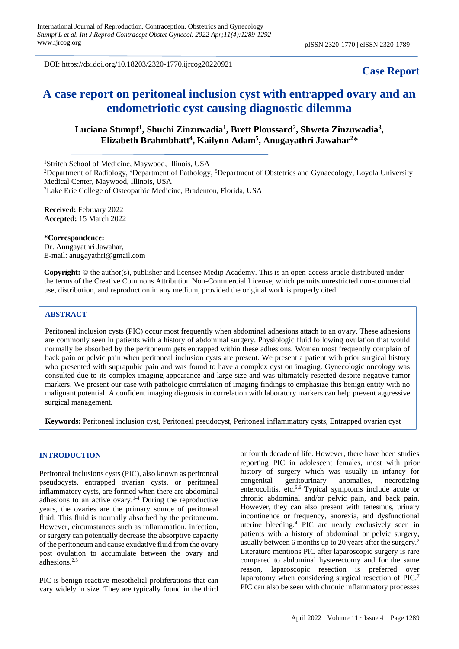DOI: https://dx.doi.org/10.18203/2320-1770.ijrcog20220921

# **Case Report**

# **A case report on peritoneal inclusion cyst with entrapped ovary and an endometriotic cyst causing diagnostic dilemma**

# **Luciana Stumpf<sup>1</sup> , Shuchi Zinzuwadia<sup>1</sup> , Brett Ploussard<sup>2</sup> , Shweta Zinzuwadia<sup>3</sup> , Elizabeth Brahmbhatt<sup>4</sup> , Kailynn Adam<sup>5</sup> , Anugayathri Jawahar<sup>2</sup>\***

<sup>1</sup>Stritch School of Medicine, Maywood, Illinois, USA

<sup>2</sup>Department of Radiology, <sup>4</sup>Department of Pathology, <sup>5</sup>Department of Obstetrics and Gynaecology, Loyola University Medical Center, Maywood, Illinois, USA

<sup>3</sup>Lake Erie College of Osteopathic Medicine, Bradenton, Florida, USA

**Received:** February 2022 **Accepted:** 15 March 2022

**\*Correspondence:** Dr. Anugayathri Jawahar, E-mail: anugayathri@gmail.com

**Copyright:** © the author(s), publisher and licensee Medip Academy. This is an open-access article distributed under the terms of the Creative Commons Attribution Non-Commercial License, which permits unrestricted non-commercial use, distribution, and reproduction in any medium, provided the original work is properly cited.

# **ABSTRACT**

Peritoneal inclusion cysts (PIC) occur most frequently when abdominal adhesions attach to an ovary. These adhesions are commonly seen in patients with a history of abdominal surgery. Physiologic fluid following ovulation that would normally be absorbed by the peritoneum gets entrapped within these adhesions. Women most frequently complain of back pain or pelvic pain when peritoneal inclusion cysts are present. We present a patient with prior surgical history who presented with suprapubic pain and was found to have a complex cyst on imaging. Gynecologic oncology was consulted due to its complex imaging appearance and large size and was ultimately resected despite negative tumor markers. We present our case with pathologic correlation of imaging findings to emphasize this benign entity with no malignant potential. A confident imaging diagnosis in correlation with laboratory markers can help prevent aggressive surgical management.

**Keywords:** Peritoneal inclusion cyst, Peritoneal pseudocyst, Peritoneal inflammatory cysts, Entrapped ovarian cyst

#### **INTRODUCTION**

Peritoneal inclusions cysts (PIC), also known as peritoneal pseudocysts, entrapped ovarian cysts, or peritoneal inflammatory cysts, are formed when there are abdominal adhesions to an active ovary. $1-4$  During the reproductive years, the ovaries are the primary source of peritoneal fluid. This fluid is normally absorbed by the peritoneum. However, circumstances such as inflammation, infection, or surgery can potentially decrease the absorptive capacity of the peritoneum and cause exudative fluid from the ovary post ovulation to accumulate between the ovary and adhesions.2,3

PIC is benign reactive mesothelial proliferations that can vary widely in size. They are typically found in the third

or fourth decade of life. However, there have been studies reporting PIC in adolescent females, most with prior history of surgery which was usually in infancy for congenital genitourinary anomalies, necrotizing enterocolitis, etc.5,6 Typical symptoms include acute or chronic abdominal and/or pelvic pain, and back pain. However, they can also present with tenesmus, urinary incontinence or frequency, anorexia, and dysfunctional uterine bleeding.<sup>4</sup> PIC are nearly exclusively seen in patients with a history of abdominal or pelvic surgery, usually between 6 months up to 20 years after the surgery.<sup>2</sup> Literature mentions PIC after laparoscopic surgery is rare compared to abdominal hysterectomy and for the same reason, laparoscopic resection is preferred over laparotomy when considering surgical resection of PIC.<sup>7</sup> PIC can also be seen with chronic inflammatory processes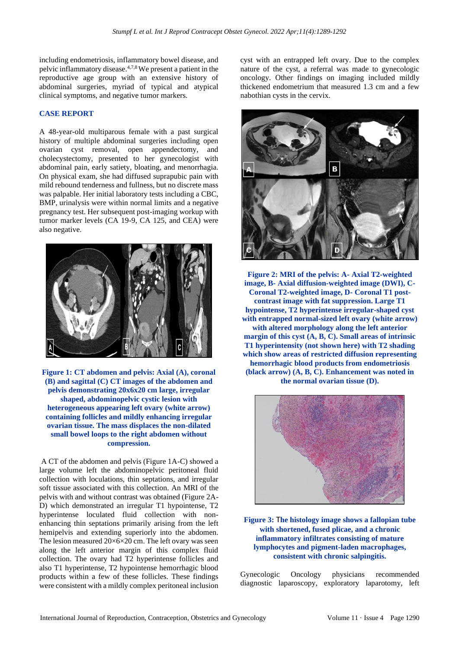including endometriosis, inflammatory bowel disease, and pelvic inflammatory disease.4,7,8 We present a patient in the reproductive age group with an extensive history of abdominal surgeries, myriad of typical and atypical clinical symptoms, and negative tumor markers.

## **CASE REPORT**

A 48-year-old multiparous female with a past surgical history of multiple abdominal surgeries including open ovarian cyst removal, open appendectomy, and cholecystectomy, presented to her gynecologist with abdominal pain, early satiety, bloating, and menorrhagia. On physical exam, she had diffused suprapubic pain with mild rebound tenderness and fullness, but no discrete mass was palpable. Her initial laboratory tests including a CBC, BMP, urinalysis were within normal limits and a negative pregnancy test. Her subsequent post-imaging workup with tumor marker levels (CA 19-9, CA 125, and CEA) were also negative.



**Figure 1: CT abdomen and pelvis: Axial (A), coronal (B) and sagittal (C) CT images of the abdomen and pelvis demonstrating 20x6x20 cm large, irregular shaped, abdominopelvic cystic lesion with heterogeneous appearing left ovary (white arrow) containing follicles and mildly enhancing irregular ovarian tissue. The mass displaces the non-dilated small bowel loops to the right abdomen without compression.**

A CT of the abdomen and pelvis (Figure 1A-C) showed a large volume left the abdominopelvic peritoneal fluid collection with loculations, thin septations, and irregular soft tissue associated with this collection. An MRI of the pelvis with and without contrast was obtained (Figure 2A-D) which demonstrated an irregular T1 hypointense, T2 hyperintense loculated fluid collection with nonenhancing thin septations primarily arising from the left hemipelvis and extending superiorly into the abdomen. The lesion measured  $20\times 6\times 20$  cm. The left ovary was seen along the left anterior margin of this complex fluid collection. The ovary had T2 hyperintense follicles and also T1 hyperintense, T2 hypointense hemorrhagic blood products within a few of these follicles. These findings were consistent with a mildly complex peritoneal inclusion cyst with an entrapped left ovary. Due to the complex nature of the cyst, a referral was made to gynecologic oncology. Other findings on imaging included mildly thickened endometrium that measured 1.3 cm and a few nabothian cysts in the cervix.



**Figure 2: MRI of the pelvis: A- Axial T2-weighted image, B- Axial diffusion-weighted image (DWI), C-Coronal T2-weighted image, D- Coronal T1 postcontrast image with fat suppression. Large T1 hypointense, T2 hyperintense irregular-shaped cyst with entrapped normal-sized left ovary (white arrow) with altered morphology along the left anterior margin of this cyst (A, B, C). Small areas of intrinsic T1 hyperintensity (not shown here) with T2 shading which show areas of restricted diffusion representing hemorrhagic blood products from endometriosis (black arrow) (A, B, C). Enhancement was noted in the normal ovarian tissue (D).**



## **Figure 3:** T**he histology image shows a fallopian tube with shortened, fused plicae, and a chronic inflammatory infiltrates consisting of mature lymphocytes and pigment-laden macrophages, consistent with chronic salpingitis.**

Gynecologic Oncology physicians recommended diagnostic laparoscopy, exploratory laparotomy, left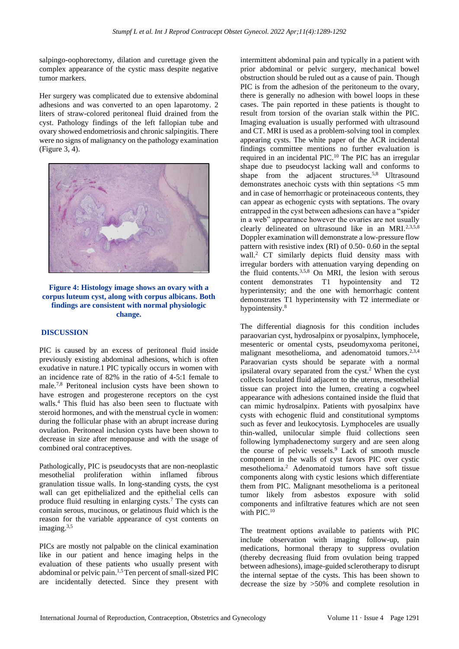salpingo-oophorectomy, dilation and curettage given the complex appearance of the cystic mass despite negative tumor markers.

Her surgery was complicated due to extensive abdominal adhesions and was converted to an open laparotomy. 2 liters of straw-colored peritoneal fluid drained from the cyst. Pathology findings of the left fallopian tube and ovary showed endometriosis and chronic salpingitis. There were no signs of malignancy on the pathology examination (Figure 3, 4).



**Figure 4: Histology image shows an ovary with a corpus luteum cyst, along with corpus albicans. Both findings are consistent with normal physiologic change.**

### **DISCUSSION**

PIC is caused by an excess of peritoneal fluid inside previously existing abdominal adhesions, which is often exudative in nature.1 PIC typically occurs in women with an incidence rate of 82% in the ratio of 4-5:1 female to male.7,8 Peritoneal inclusion cysts have been shown to have estrogen and progesterone receptors on the cyst walls.<sup>4</sup> This fluid has also been seen to fluctuate with steroid hormones, and with the menstrual cycle in women: during the follicular phase with an abrupt increase during ovulation. Peritoneal inclusion cysts have been shown to decrease in size after menopause and with the usage of combined oral contraceptives.

Pathologically, PIC is pseudocysts that are non-neoplastic mesothelial proliferation within inflamed fibrous granulation tissue walls. In long-standing cysts, the cyst wall can get epithelialized and the epithelial cells can produce fluid resulting in enlarging cysts.<sup>7</sup> The cysts can contain serous, mucinous, or gelatinous fluid which is the reason for the variable appearance of cyst contents on imaging $3,5$ 

PICs are mostly not palpable on the clinical examination like in our patient and hence imaging helps in the evaluation of these patients who usually present with abdominal or pelvic pain.1,5 Ten percent of small-sized PIC are incidentally detected. Since they present with intermittent abdominal pain and typically in a patient with prior abdominal or pelvic surgery, mechanical bowel obstruction should be ruled out as a cause of pain. Though PIC is from the adhesion of the peritoneum to the ovary, there is generally no adhesion with bowel loops in these cases. The pain reported in these patients is thought to result from torsion of the ovarian stalk within the PIC. Imaging evaluation is usually performed with ultrasound and CT. MRI is used as a problem-solving tool in complex appearing cysts. The white paper of the ACR incidental findings committee mentions no further evaluation is required in an incidental PIC.<sup>10</sup> The PIC has an irregular shape due to pseudocyst lacking wall and conforms to shape from the adjacent structures.<sup>5,8</sup> Ultrasound demonstrates anechoic cysts with thin septations <5 mm and in case of hemorrhagic or proteinaceous contents, they can appear as echogenic cysts with septations. The ovary entrapped in the cyst between adhesions can have a "spider in a web" appearance however the ovaries are not usually clearly delineated on ultrasound like in an MRI.<sup>2,3,5,8</sup> Doppler examination will demonstrate a low-pressure flow pattern with resistive index (RI) of 0.50- 0.60 in the septal wall.<sup>2</sup> CT similarly depicts fluid density mass with irregular borders with attenuation varying depending on the fluid contents.3,5,8 On MRI, the lesion with serous content demonstrates T1 hypointensity and T2 hyperintensity; and the one with hemorrhagic content demonstrates T1 hyperintensity with T2 intermediate or hypointensity.<sup>8</sup>

The differential diagnosis for this condition includes paraovarian cyst, hydrosalpinx or pyosalpinx, lymphocele, mesenteric or omental cysts, pseudomyxoma peritonei, malignant mesothelioma, and adenomatoid tumors.<sup>2,3,4</sup> Paraovarian cysts should be separate with a normal ipsilateral ovary separated from the cyst.<sup>2</sup> When the cyst collects loculated fluid adjacent to the uterus, mesothelial tissue can project into the lumen, creating a cogwheel appearance with adhesions contained inside the fluid that can mimic hydrosalpinx. Patients with pyosalpinx have cysts with echogenic fluid and constitutional symptoms such as fever and leukocytosis. Lymphoceles are usually thin-walled, unilocular simple fluid collections seen following lymphadenectomy surgery and are seen along the course of pelvic vessels.<sup>9</sup> Lack of smooth muscle component in the walls of cyst favors PIC over cystic mesothelioma.<sup>2</sup> Adenomatoid tumors have soft tissue components along with cystic lesions which differentiate them from PIC. Malignant mesothelioma is a peritoneal tumor likely from asbestos exposure with solid components and infiltrative features which are not seen with PIC.<sup>10</sup>

The treatment options available to patients with PIC include observation with imaging follow-up, pain medications, hormonal therapy to suppress ovulation (thereby decreasing fluid from ovulation being trapped between adhesions), image-guided sclerotherapy to disrupt the internal septae of the cysts. This has been shown to decrease the size by >50% and complete resolution in